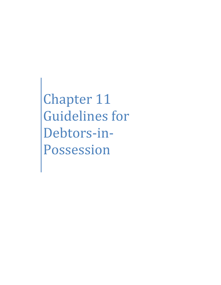Chapter 11 Guidelines for Debtors-in-Possession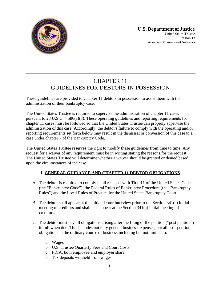

# CHAPTER 11 GUIDELINES FOR DEBTORS-IN-POSSESSION

These guidelines are provided to Chapter 11 debtors in possession to assist them with the administration of their bankruptcy case.

The United States Trustee is required to supervise the administration of chapter 11 cases pursuant to 28 U.S.C. § 586(a)(3). These operating guidelines and reporting requirements for chapter 11 cases must be followed so that the United States Trustee can properly supervise the administration of this case. Accordingly, the debtor's failure to comply with the operating and/or reporting requirements set forth below may result in the dismissal or conversion of this case to a case under chapter 7 of the Bankruptcy Code.

The United States Trustee reserves the right to modify these guidelines from time to time. Any request for a waiver of any requirement must be in writing stating the reasons for the request. The United States Trustee will determine whether a waiver should be granted or denied based upon the circumstances of the case.

# **I. GENERAL GUIDANCE AND CHAPTER 11 DEBTOR OBLIGATIONS**

- A. The debtor is required to comply in all respects with Title 11 of the United States Code (the "Bankruptcy Code"), the Federal Rules of Bankruptcy Procedure (the "Bankruptcy Rules") and the Local Rules of Practice for the United States Bankruptcy Court
- B. The debtor shall appear at the initial debtor interview prior to the Section 341(a) initial meeting of creditors and shall also appear at the Section 341(a) initial meeting of creditors.
- C. The debtor must pay all obligations arising after the filing of the petition ("post petition") in full when due. This includes not only general business expenses, but all post-petition obligations in the ordinary course of business including but not limited to:
	- a. Wages
	- b. U.S. Trustee Quarterly Fees and Court Costs
	- c. FICA, both employee and employer share
	- d. Tax deposits withheld from wages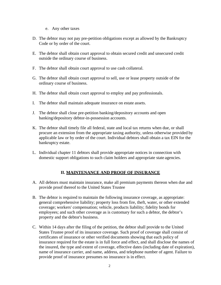- e. Any other taxes
- D. The debtor may not pay pre-petition obligations except as allowed by the Bankruptcy Code or by order of the court.
- E. The debtor shall obtain court approval to obtain secured credit and unsecured credit outside the ordinary course of business.
- F. The debtor shall obtain court approval to use cash collateral.
- G. The debtor shall obtain court approval to sell, use or lease property outside of the ordinary course of business.
- H. The debtor shall obtain court approval to employ and pay professionals.
- I. The debtor shall maintain adequate insurance on estate assets.
- J. The debtor shall close pre-petition banking/depository accounts and open banking/depository debtor-in-possession accounts.
- K. The debtor shall timely file all federal, state and local tax returns when due, or shall procure an extension from the appropriate taxing authority, unless otherwise provided by applicable law or by order of the court. Individual debtors shall obtain a tax EIN for the bankruptcy estate.
- L. Individual chapter 11 debtors shall provide appropriate notices in connection with domestic support obligations to such claim holders and appropriate state agencies.

### **II. MAINTENANCE AND PROOF OF INSURANCE**

- A. All debtors must maintain insurance, make all premium payments thereon when due and provide proof thereof to the United States Trustee
- B. The debtor is required to maintain the following insurance coverage, as appropriate: general comprehensive liability; property loss from fire, theft, water, or other extended coverage; workers' compensation; vehicle, products liability; fidelity bonds for employees; and such other coverage as is customary for such a debtor, the debtor's property and the debtor's business.
- C. Within 14 days after the filing of the petition, the debtor shall provide to the United States Trustee proof of its insurance coverage. Such proof of coverage shall consist of certificates of insurance or other verified documents showing that each policy of insurance required for the estate is in full force and effect, and shall disclose the names of the insured, the type and extent of coverage, effective dates (including date of expiration), name of insurance carrier, and name, address, and telephone number of agent. Failure to provide proof of insurance presumes no insurance is in effect.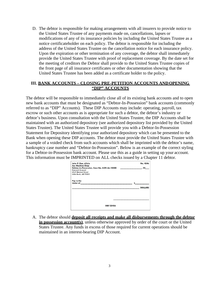D. The debtor is responsible for making arrangements with all insurers to provide notice to the United States Trustee of any payments made on, cancellations, lapses or modifications of any of its insurance policies by including the United States Trustee as a notice certificateholder on each policy. The debtor is responsible for including the address of the United States Trustee on the cancellation notice for each insurance policy. Upon the expiration or other termination of any coverage, the debtor shall immediately provide the United States Trustee with proof of replacement coverage. By the date set for the meeting of creditors the Debtor shall provide to the United States Trustee copies of the front page of all insurance certificates or other documentation showing that the United States Trustee has been added as a certificate holder to the policy.

## **III. BANK ACCOUNTS – CLOSING PRE-PETITION ACCOUNTS AND OPENING "DIP" ACCOUNTS**

The debtor will be responsible to immediately close all of its existing bank accounts and to open new bank accounts that must be designated as "Debtor-In-Possession" bank accounts (commonly referred to as "DIP" Accounts). These DIP Accounts may include: operating, payroll, tax escrow or such other accounts as is appropriate for such a debtor, the debtor's industry or debtor's business. Upon consultation with the United States Trustee, the DIP Accounts shall be maintained with an authorized depository (see authorized depository list provided by the United States Trustee). The United States Trustee will provide you with a Debtor-In-Possession Statement for Depository identifying your authorized depository which can be presented to the Bank when opening these DIP accounts. The debtor must provide the United States Trustee with a sample of a voided check from such accounts which shall be imprinted with the debtor's name, bankruptcy case number and "Debtor-In-Possession". Below is an example of the correct styling for a Debtor-in-Possession bank account. Please use this as a guide in setting up your account. This information must be IMPRINTED on ALL checks issued by a Chapter 11 debtor.

| John P. Doe, d/b/a<br><b>Ace Machine Shop</b>                                                                                                                                                                                        |              | No. 4546       |
|--------------------------------------------------------------------------------------------------------------------------------------------------------------------------------------------------------------------------------------|--------------|----------------|
| Debtor-in-Possession, Case No. 4:09-bk-10000                                                                                                                                                                                         |              | .20            |
| <b>General Account</b>                                                                                                                                                                                                               |              |                |
| <b>4567 Market Street</b>                                                                                                                                                                                                            |              |                |
| Little Rock, AR 72201                                                                                                                                                                                                                |              |                |
| Pay to the                                                                                                                                                                                                                           |              |                |
| <b>Order of the contract of the contract of the contract of the contract of the contract of the contract of the contract of the contract of the contract of the contract of the contract of the contract of the contract of the </b> | $\mathsf{s}$ |                |
|                                                                                                                                                                                                                                      |              | <b>DOLLARS</b> |
|                                                                                                                                                                                                                                      |              |                |
|                                                                                                                                                                                                                                      |              |                |
|                                                                                                                                                                                                                                      |              |                |
|                                                                                                                                                                                                                                      |              |                |
|                                                                                                                                                                                                                                      |              |                |
| 000123456                                                                                                                                                                                                                            |              |                |

A. The debtor should **deposit all receipts and make all disbursements through the debtor in possession account(s)**, unless otherwise approved by order of the court or the United States Trustee. Any funds in excess of those required for current operations should be maintained in an interest-bearing DIP Account.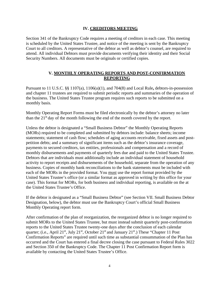### **IV. CREDITORS MEETING**

Section 341 of the Bankruptcy Code requires a meeting of creditors in each case. This meeting is scheduled by the United States Trustee, and notice of the meeting is sent by the Bankruptcy Court to all creditors. A representative of the debtor as well as debtor's counsel, are required to attend. All individual Debtors must provide documents verifying their identity and their Social Security Numbers. All documents must be originals or certified copies.

# **V. MONTHLY OPERATING REPORTS AND POST-CONFIRMATION REPORTING**

Pursuant to 11 U.S.C. §§ 1107(a), 1106(a)(1), and 704(8) and Local Rule**,** debtors-in-possession and chapter 11 trustees are required to submit periodic reports and summaries of the operation of the business. The United States Trustee program requires such reports to be submitted on a monthly basis.

Monthly Operating Report Forms must be filed electronically by the debtor's attorney no later than the  $21<sup>st</sup>$  day of the month following the end of the month covered by the report.

Unless the debtor is designated a "Small Business Debtor" the Monthly Operating Reports (MORs) required to be completed and submitted by debtors include: balance sheets; income statements; statement of cash flow; schedules of aging accounts receivable, fixed assets and postpetition debts; and a summary of significant items such as the debtor's insurance coverage, payments to secured creditors, tax entities, professionals and compensation and a record of monthly disbursements and payments of quarterly fees due and paid to the United States Trustee. Debtors that are individuals must additionally include an individual statement of household activity to report receipts and disbursements of the household, separate from the operation of any business. Copies of monthly bank reconciliations to the bank statements must be included with each of the MORs in the provided format. You must use the report format provided by the United States Trustee's office (or a similar format as approved in writing by this office for your case). This format for MORs, for both business and individual reporting, is available on the at the United States Trustee's Office.

If the debtor is designated as a "Small Business Debtor" (see Section VII. Small Business Debtor Designation, below), the debtor must use the Bankruptcy Court's official Small Business Monthly Operating report form.

After confirmation of the plan of reorganization, the reorganized debtor is no longer required to submit MORs to the United States Trustee, but must instead submit quarterly post-confirmation reports to the United States Trustee twenty-one days after the conclusion of each calendar quarter; (i.e., April 21<sup>st</sup>, July 21<sup>st</sup>, October 21<sup>st</sup> and January 21<sup>st</sup>.) These "Chapter 11 Post Confirmation Reports" are required until such time as substantial consummation of the Plan has occurred and the Court has entered a final decree closing the case pursuant to Federal Rules 3022 and Section 350 of the Bankruptcy Code. The Chapter 11 Post Confirmation Report form is available by contacting the United States Trustee's Office.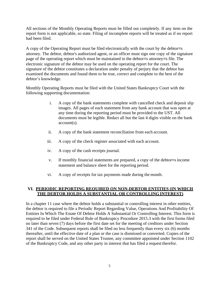All sections of the Monthly Operating Reports must be filled out completely. If any item on the report form is not applicable, so state. Filing of incomplete reports will be treated as if no report had been filed.

A copy of the Operating Report must be filed electronically with the court by the debtor=s attorney. The debtor, debtor's authorized agent, or an officer must sign one copy of the signature page of the operating report which must be maintained in the debtor=s attorney=s file. The electronic signature of the debtor may be used on the operating report for the court. The signature of the debtor constitutes a declaration under penalty of perjury that the debtor has examined the documents and found them to be true, correct and complete to the best of the debtor's knowledge.

Monthly Operating Reports must be filed with the United States Bankruptcy Court with the following supporting documentation:

- i. A copy of the bank statements complete with cancelled check and deposit slip images. All pages of each statement from any bank account that was open at any time during the reporting period must be provided to the UST. All documents must be legible. Redact all but the last 4 digits visible on the bank account(s).
- ii. A copy of the bank statement reconciliation from each account.
- iii. A copy of the check register associated with each account.
- iv. A copy of the cash receipts journal.
- v. If monthly financial statements are prepared, a copy of the debtor=s income statement and balance sheet for the reporting period.
- vi. A copy of receipts for tax payments made during the month.

## **VI. PERIODIC REPORTING REQUIRED ON NON-DEBTOR ENTITIES (IN WHICH THE DEBTOR HOLDS A SUBSTANTIAL OR CONTROLLING INTEREST)**

In a chapter 11 case where the debtor holds a substantial or controlling interest in other entities, the debtor is required to file a Periodic Report Regarding Value, Operations And Profitability Of Entities In Which The Estate Of Debtor Holds A Substantial Or Controlling Interest. This form is required to be filed under Federal Rule of Bankruptcy Procedure 2015.3 with the first forms filed no later than seven (7) days before the first date set for the meeting of creditors under Section 341 of the Code. Subsequent reports shall be filed no less frequently than every six (6) months thereafter, until the effective date of a plan or the case is dismissed or converted. Copies of the report shall be served on the United States Trustee, any committee appointed under Section 1102 of the Bankruptcy Code, and any other party in interest that has filed a request therefor.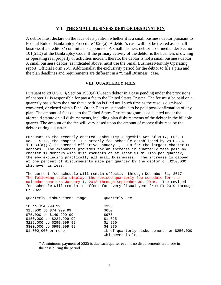#### **VII. THE SMALL BUSINESS DEBTOR DESIGNATION**

A debtor must declare on the face of its petition whether it is a small business debtor pursuant to Federal Rule of Bankruptcy Procedure 1020(a). A debtor's case will not be treated as a small business if a creditors' committee is appointed. A small business debtor is defined under Section 101(51D) of the Bankruptcy Code. If the primary activity of the debtor is the business of owning or operating real property or activities incident thereto, the debtor is not a small business debtor. A small business debtor, as indicated above, must use the Small Business Monthly Operating report, Official Form 25C. Additionally, the exclusivity period for the debtor to file a plan and the plan deadlines and requirements are different in a "Small Business" case.

### **VIII. QUARTERLY FEES**

Pursuant to 28 U.S.C. § Section 1930(a)(6), each debtor in a case pending under the provisions of chapter 11 is responsible for pay a fee to the United States Trustee. The fee must be paid on a quarterly basis from the time that a petition is filed until such time as the case is dismissed, converted, or closed with a Final Order. Fees must continue to be paid post-confirmation of any plan. The amount of fees due to the United States Trustee program is calculated under the aforesaid statute on all disbursements, including plan disbursements of the debtor in the billable quarter. The amount of the fee will vary based upon the amount of money disbursed by the debtor during a quarter.

Pursuant to the recently enacted Bankruptcy Judgeship Act of 2017, Pub. L. No. 115-72, the chapter 11 quarterly fee schedule established by 28 U.S.C. § 1930(a)(6) is amended effective January 1, 2018 for the largest chapter 11 debtors. The amendment provides for an increase in quarterly fees paid by chapter 11 debtors with disbursements of at least \$1 million per quarter, thereby excluding practically all small businesses. The increase is capped at one percent of disbursements made per quarter by the debtor or \$250,000, whichever is less.

The current fee schedule will remain effective through December 31, 2017. The following table displays the revised quarterly fee schedule for the calendar quarters January 1, 2018 through September 30, 2018. The revised fee schedule will remain in effect for every fiscal year from FY 2019 through FY 2022

| Ouarterly Disbursement Range | Ouarterly Fee                                                   |
|------------------------------|-----------------------------------------------------------------|
| $$0$ to $$14,999.99$         | \$325                                                           |
| $$15,000$ to $$74,999.99$    | \$650                                                           |
| \$75,000 to \$149,999.99     | \$975                                                           |
| \$150,000 to \$224,999.99    | \$1,625                                                         |
| \$225,000 to \$299,999.99    | \$1,950                                                         |
| \$300,000 to \$999,999.99    | \$4,875                                                         |
| \$1,000,000 or more          | 1% of quarterly disbursements or \$250,000<br>whichever is less |

\* A minimum payment of \$325 is due each quarter even if no disbursements are made in the case during the period.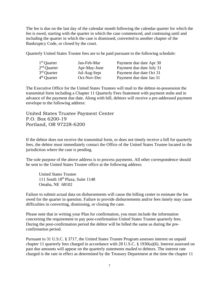The fee is due on the last day of the calendar month following the calendar quarter for which the fee is owed, starting with the quarter in which the case commenced, and continuing until and including the quarter in which the case is dismissed, converted to another chapter of the Bankruptcy Code, or closed by the court.

Quarterly United States Trustee fees are to be paid pursuant to the following schedule:

| $1st$ Quarter | Jan-Feb-Mar  | Payment due date Apr 30  |
|---------------|--------------|--------------------------|
| $2nd$ Quarter | Apr-May-June | Payment due date July 31 |
| $3rd$ Quarter | Jul-Aug-Sept | Payment due date Oct 31  |
| $4th$ Quarter | Oct-Nov-Dec  | Payment due date Jan 31  |

The Executive Office for the United States Trustees will mail to the debtor-in-possession the transmittal form including a Chapter 11 Quarterly Fees Statement with payment stubs and in advance of the payment due date. Along with bill, debtors will receive a pre-addressed payment envelope to the following address:

United States Trustee Payment Center P.O. Box 6200-19 Portland, OR 97228-6200

If the debtor does not receive the transmittal form, or does not timely receive a bill for quarterly fees, the debtor must immediately contact the Office of the United States Trustee located in the jurisdiction where the case is pending.

The sole purpose of the above address is to process payments. All other correspondence should be sent to the United States Trustee office at the following address:

United States Trustee 111 South 18th Plaza, Suite 1148 Omaha, NE 68102

Failure to submit actual data on disbursements will cause the billing center to estimate the fee owed for the quarter in question. Failure to provide disbursements and/or fees timely may cause difficulties in converting, dismissing, or closing the case.

Please note that in writing your Plan for confirmation, you must include the information concerning the requirement to pay post-confirmation United States Trustee quarterly fees. During the post-confirmation period the debtor will be billed the same as during the preconfirmation period.

Pursuant to 31 U.S.C. § 3717, the United States Trustee Program assesses interest on unpaid chapter 11 quarterly fees charged in accordance with 28 U.S.C. § 1930(a)(6). Interest assessed on past due amounts will appear on the quarterly statements mailed to debtors. The interest rate charged is the rate in effect as determined by the Treasury Department at the time the chapter 11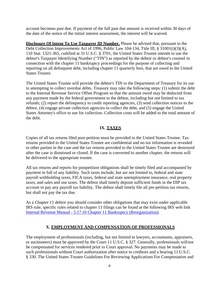account becomes past due. If payment of the full past due amount is received within 30 days of the date of the notice of the initial interest assessment, the interest will be waived.

**Disclosure Of Intent To Use Taxpayer ID Number.** Please be advised that, pursuant to the Debt Collection Improvements Act of 1996, Public Law 104-134, Title III, § 31001(i)(3)(A), 110 Stat. 1321-365, codified at 31 U.S.C. § 3701, the United States Trustee intends to use the debtor's Taxpayer Identifying Number ("TIN") as reported by the debtor or debtor's counsel in connection with the chapter 11 bankruptcy proceedings for the purpose of collecting and reporting on all delinquent debt, including chapter 11 quarterly fees, that are owed to the United States Trustee.

The United States Trustee will provide the debtor's TIN to the Department of Treasury for its use in attempting to collect overdue debts. Treasury may take the following steps: (1) submit the debt to the Internal Revenue Service Offset Program so that the amount owed may be deducted from any payment made by the federal government to the debtor, including but not limited to tax refunds; (2) report the delinquency to credit reporting agencies, (3) send collection notices to the debtor, (4) engage private collection agencies to collect the debt, and (5) engage the United States Attorney's office to sue for collection. Collection costs will be added to the total amount of the debt.

# **IX. TAXES**

Copies of all tax returns filed post-petition must be provided to the United States Trustee. Tax returns provided to the United States Trustee are confidential and no tax information is revealed to other parties in the case and the tax returns provided to the United States Trustee are destroyed after the case is dismissed or closed. If the case is converted to another chapter, the returns will be delivered to the appropriate trustee.

All tax returns and reports for postpetition obligations shall be timely filed and accompanied by payment in full of any liability. Such taxes include, but are not limited to, federal and state payroll withholding taxes, FICA taxes, federal and state unemployment insurance, real property taxes, and sales and use taxes. The debtor shall timely deposit sufficient funds in the DIP tax account to pay any payroll tax liability. The debtor shall timely file all pre-petition tax returns, but shall not pay the tax due.

As a Chapter 11 debtor you should consider other obligations that may exist under applicable IRS rule; specific rules related to chapter 11 filings can be found at the following IRS web link Internal Revenue Manual - 5.17.10 Chapter 11 Bankruptcy (Reorganization).

# **X. EMPLOYMENT AND COMPENSATION OF PROFESSIONALS**

The employment of professionals (including, but not limited to lawyers, accountants, appraisers, or auctioneers) must be approved by the Court 11 U.S.C. § 327. Generally, professionals will not be compensated for services rendered prior to Court approval. No payments may be made to such professionals without Court authorization after notice to creditors and a hearing 11 U.S.C. § 330. The United States Trustee Guidelines For Reviewing Applications For Compensation and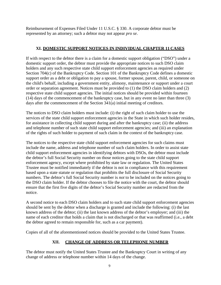Reimbursement of Expenses Filed Under 11 U.S.C. § 330. A corporate debtor must be represented by an attorney; such a debtor may not appear *pro se*.

# **XI. DOMESTIC SUPPORT NOTICES IN INDIVIDUAL CHAPTER 11 CASES**

If with respect to the debtor there is a claim for a domestic support obligation ("DSO") under a domestic support order, the debtor must provide the appropriate notices to such DSO claim holders and any such respective state child support enforcement agencies as required under Section 704(c) of the Bankruptcy Code. Section 101 of the Bankruptcy Code defines a domestic support order as a debt or obligation to pay a spouse, former spouse, parent, child, or someone on the child's behalf, including a government entity, alimony, maintenance or support under a court order or separation agreement. Notices must be provided to (1) the DSO claim holders and (2) respective state child support agencies. The initial notices should be provided within fourteen (14) days of the commencement of the bankruptcy case, but in any event no later than three (3) days after the commencement of the Section 341(a) initial meeting of creditors.

The notices to DSO claim holders must include: (i) the right of such claim holder to use the services of the state child support enforcement agencies in the State in which such holder resides, for assistance in collecting child support during and after the bankruptcy case; (ii) the address and telephone number of such state child support enforcement agencies; and (iii) an explanation of the rights of such holder to payment of such claim in the context of the bankruptcy case.

The notices to the respective state child support enforcement agencies for such claims must include the name, address and telephone number of such claim holders. In order to assist state child support enforcement agencies in identifying debtors with DSOs, the debtor must include the debtor's full Social Security number on those notices going to the state child support enforcement agency, except where prohibited by state law or regulation. The United States Trustee must be notified immediately if the debtor is not in compliance with this requirement based upon a state statute or regulation that prohibits the full disclosure of Social Security numbers. The debtor's full Social Security number is *not* to be included on the notices going to the DSO claim holder. If the debtor chooses to file the notice with the court, the debtor should ensure that the first five digits of the debtor's Social Security number are redacted from the notice.

A second notice to each DSO claim holders and to such state child support enforcement agencies should be sent by the debtor when a discharge is granted and include the following: (i) the last known address of the debtor; (ii) the last known address of the debtor's employer; and (iii) the name of each creditor that holds a claim that is not discharged or that was reaffirmed (i.e., a debt the debtor agreed to remain responsible for, such as a car payment).

Copies of all of the aforementioned notices should be provided to the United States Trustee.

# **XII. CHANGE OF ADDRESS OR TELEPHONE NUMBER**

The debtor must notify the United States Trustee and the Bankruptcy Court in writing of any change of address or telephone number within 14 days of the change.